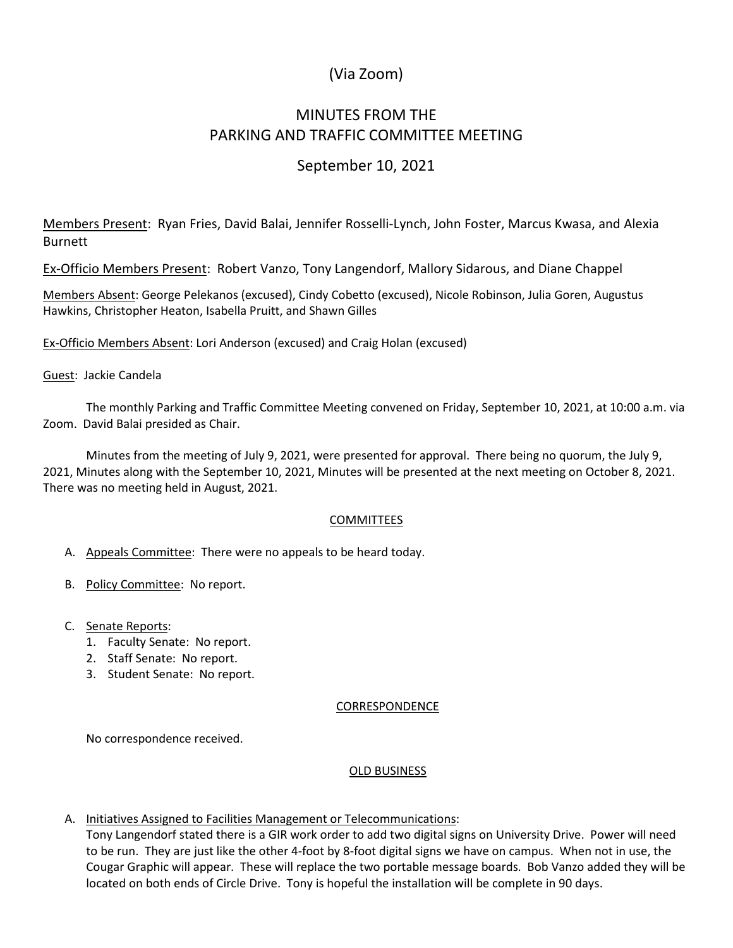# (Via Zoom)

# MINUTES FROM THE PARKING AND TRAFFIC COMMITTEE MEETING

## September 10, 2021

Members Present: Ryan Fries, David Balai, Jennifer Rosselli-Lynch, John Foster, Marcus Kwasa, and Alexia **Burnett** 

Ex-Officio Members Present: Robert Vanzo, Tony Langendorf, Mallory Sidarous, and Diane Chappel

Members Absent: George Pelekanos (excused), Cindy Cobetto (excused), Nicole Robinson, Julia Goren, Augustus Hawkins, Christopher Heaton, Isabella Pruitt, and Shawn Gilles

Ex-Officio Members Absent: Lori Anderson (excused) and Craig Holan (excused)

#### Guest: Jackie Candela

The monthly Parking and Traffic Committee Meeting convened on Friday, September 10, 2021, at 10:00 a.m. via Zoom. David Balai presided as Chair.

Minutes from the meeting of July 9, 2021, were presented for approval. There being no quorum, the July 9, 2021, Minutes along with the September 10, 2021, Minutes will be presented at the next meeting on October 8, 2021. There was no meeting held in August, 2021.

#### COMMITTEES

- A. Appeals Committee: There were no appeals to be heard today.
- B. Policy Committee: No report.
- C. Senate Reports:
	- 1. Faculty Senate: No report.
	- 2. Staff Senate: No report.
	- 3. Student Senate: No report.

#### CORRESPONDENCE

No correspondence received.

#### OLD BUSINESS

A. Initiatives Assigned to Facilities Management or Telecommunications:

Tony Langendorf stated there is a GIR work order to add two digital signs on University Drive. Power will need to be run. They are just like the other 4-foot by 8-foot digital signs we have on campus. When not in use, the Cougar Graphic will appear. These will replace the two portable message boards. Bob Vanzo added they will be located on both ends of Circle Drive. Tony is hopeful the installation will be complete in 90 days.